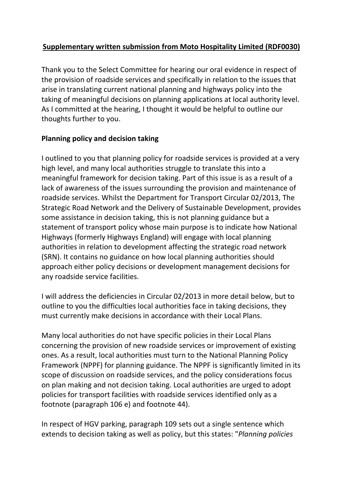# **Supplementary written submission from Moto Hospitality Limited (RDF0030)**

Thank you to the Select Committee for hearing our oral evidence in respect of the provision of roadside services and specifically in relation to the issues that arise in translating current national planning and highways policy into the taking of meaningful decisions on planning applications at local authority level. As I committed at the hearing, I thought it would be helpful to outline our thoughts further to you.

## **Planning policy and decision taking**

I outlined to you that planning policy for roadside services is provided at a very high level, and many local authorities struggle to translate this into a meaningful framework for decision taking. Part of this issue is as a result of a lack of awareness of the issues surrounding the provision and maintenance of roadside services. Whilst the Department for Transport Circular 02/2013, The Strategic Road Network and the Delivery of Sustainable Development, provides some assistance in decision taking, this is not planning guidance but a statement of transport policy whose main purpose is to indicate how National Highways (formerly Highways England) will engage with local planning authorities in relation to development affecting the strategic road network (SRN). It contains no guidance on how local planning authorities should approach either policy decisions or development management decisions for any roadside service facilities.

I will address the deficiencies in Circular 02/2013 in more detail below, but to outline to you the difficulties local authorities face in taking decisions, they must currently make decisions in accordance with their Local Plans.

Many local authorities do not have specific policies in their Local Plans concerning the provision of new roadside services or improvement of existing ones. As a result, local authorities must turn to the National Planning Policy Framework (NPPF) for planning guidance. The NPPF is significantly limited in its scope of discussion on roadside services, and the policy considerations focus on plan making and not decision taking. Local authorities are urged to adopt policies for transport facilities with roadside services identified only as a footnote (paragraph 106 e) and footnote 44).

In respect of HGV parking, paragraph 109 sets out a single sentence which extends to decision taking as well as policy, but this states: "*Planning policies*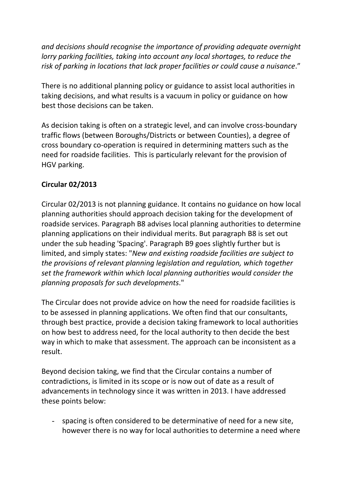*and decisions should recognise the importance of providing adequate overnight lorry parking facilities, taking into account any local shortages, to reduce the risk of parking in locations that lack proper facilities or could cause a nuisance*."

There is no additional planning policy or guidance to assist local authorities in taking decisions, and what results is a vacuum in policy or guidance on how best those decisions can be taken.

As decision taking is often on a strategic level, and can involve cross-boundary traffic flows (between Boroughs/Districts or between Counties), a degree of cross boundary co-operation is required in determining matters such as the need for roadside facilities. This is particularly relevant for the provision of HGV parking.

# **Circular 02/2013**

Circular 02/2013 is not planning guidance. It contains no guidance on how local planning authorities should approach decision taking for the development of roadside services. Paragraph B8 advises local planning authorities to determine planning applications on their individual merits. But paragraph B8 is set out under the sub heading 'Spacing'. Paragraph B9 goes slightly further but is limited, and simply states: "*New and existing roadside facilities are subject to the provisions of relevant planning legislation and regulation, which together set the framework within which local planning authorities would consider the planning proposals for such developments*."

The Circular does not provide advice on how the need for roadside facilities is to be assessed in planning applications. We often find that our consultants, through best practice, provide a decision taking framework to local authorities on how best to address need, for the local authority to then decide the best way in which to make that assessment. The approach can be inconsistent as a result.

Beyond decision taking, we find that the Circular contains a number of contradictions, is limited in its scope or is now out of date as a result of advancements in technology since it was written in 2013. I have addressed these points below:

spacing is often considered to be determinative of need for a new site, however there is no way for local authorities to determine a need where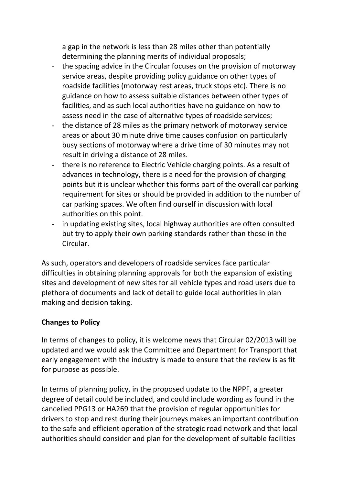a gap in the network is less than 28 miles other than potentially determining the planning merits of individual proposals;

- the spacing advice in the Circular focuses on the provision of motorway service areas, despite providing policy guidance on other types of roadside facilities (motorway rest areas, truck stops etc). There is no guidance on how to assess suitable distances between other types of facilities, and as such local authorities have no guidance on how to assess need in the case of alternative types of roadside services;
- the distance of 28 miles as the primary network of motorway service areas or about 30 minute drive time causes confusion on particularly busy sections of motorway where a drive time of 30 minutes may not result in driving a distance of 28 miles.
- there is no reference to Electric Vehicle charging points. As a result of advances in technology, there is a need for the provision of charging points but it is unclear whether this forms part of the overall car parking requirement for sites or should be provided in addition to the number of car parking spaces. We often find ourself in discussion with local authorities on this point.
- in updating existing sites, local highway authorities are often consulted but try to apply their own parking standards rather than those in the Circular.

As such, operators and developers of roadside services face particular difficulties in obtaining planning approvals for both the expansion of existing sites and development of new sites for all vehicle types and road users due to plethora of documents and lack of detail to guide local authorities in plan making and decision taking.

## **Changes to Policy**

In terms of changes to policy, it is welcome news that Circular 02/2013 will be updated and we would ask the Committee and Department for Transport that early engagement with the industry is made to ensure that the review is as fit for purpose as possible.

In terms of planning policy, in the proposed update to the NPPF, a greater degree of detail could be included, and could include wording as found in the cancelled PPG13 or HA269 that the provision of regular opportunities for drivers to stop and rest during their journeys makes an important contribution to the safe and efficient operation of the strategic road network and that local authorities should consider and plan for the development of suitable facilities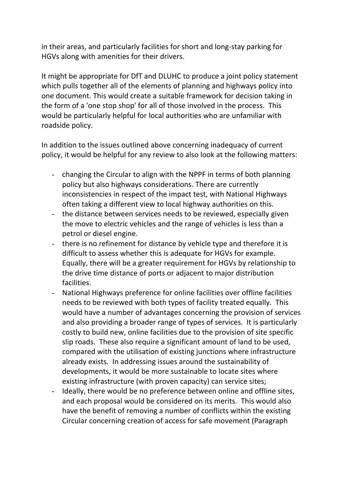in their areas, and particularly facilities for short and long-stay parking for HGVs along with amenities for their drivers.

It might be appropriate for DfT and DLUHC to produce a joint policy statement which pulls together all of the elements of planning and highways policy into one document. This would create a suitable framework for decision taking in the form of a 'one stop shop' for all of those involved in the process. This would be particularly helpful for local authorities who are unfamiliar with roadside policy.

In addition to the issues outlined above concerning inadequacy of current policy, it would be helpful for any review to also look at the following matters:

- changing the Circular to align with the NPPF in terms of both planning policy but also highways considerations. There are currently inconsistencies in respect of the impact test, with National Highways often taking a different view to local highway authorities on this.
- the distance between services needs to be reviewed, especially given the move to electric vehicles and the range of vehicles is less than a petrol or diesel engine.
- there is no refinement for distance by vehicle type and therefore it is difficult to assess whether this is adequate for HGVs for example. Equally, there will be a greater requirement for HGVs by relationship to the drive time distance of ports or adjacent to major distribution facilities.
- National Highways preference for online facilities over offline facilities needs to be reviewed with both types of facility treated equally. This would have a number of advantages concerning the provision of services and also providing a broader range of types of services. It is particularly costly to build new, online facilities due to the provision of site specific slip roads. These also require a significant amount of land to be used, compared with the utilisation of existing junctions where infrastructure already exists. In addressing issues around the sustainability of developments, it would be more sustainable to locate sites where existing infrastructure (with proven capacity) can service sites;
- Ideally, there would be no preference between online and offline sites, and each proposal would be considered on its merits. This would also have the benefit of removing a number of conflicts within the existing Circular concerning creation of access for safe movement (Paragraph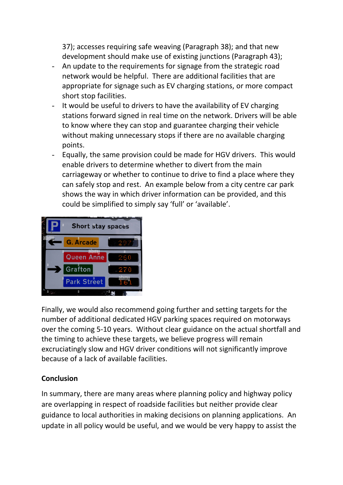37); accesses requiring safe weaving (Paragraph 38); and that new development should make use of existing junctions (Paragraph 43);

- An update to the requirements for signage from the strategic road network would be helpful. There are additional facilities that are appropriate for signage such as EV charging stations, or more compact short stop facilities.
- It would be useful to drivers to have the availability of EV charging stations forward signed in real time on the network. Drivers will be able to know where they can stop and guarantee charging their vehicle without making unnecessary stops if there are no available charging points.
- Equally, the same provision could be made for HGV drivers. This would enable drivers to determine whether to divert from the main carriageway or whether to continue to drive to find a place where they can safely stop and rest. An example below from a city centre car park shows the way in which driver information can be provided, and this could be simplified to simply say 'full' or 'available'.



Finally, we would also recommend going further and setting targets for the number of additional dedicated HGV parking spaces required on motorways over the coming 5-10 years. Without clear guidance on the actual shortfall and the timing to achieve these targets, we believe progress will remain excruciatingly slow and HGV driver conditions will not significantly improve because of a lack of available facilities.

## **Conclusion**

In summary, there are many areas where planning policy and highway policy are overlapping in respect of roadside facilities but neither provide clear guidance to local authorities in making decisions on planning applications. An update in all policy would be useful, and we would be very happy to assist the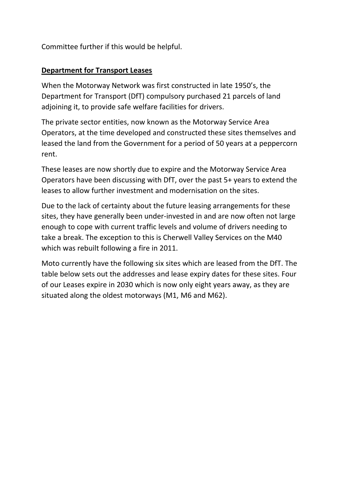Committee further if this would be helpful.

## **Department for Transport Leases**

When the Motorway Network was first constructed in late 1950's, the Department for Transport (DfT) compulsory purchased 21 parcels of land adjoining it, to provide safe welfare facilities for drivers.

The private sector entities, now known as the Motorway Service Area Operators, at the time developed and constructed these sites themselves and leased the land from the Government for a period of 50 years at a peppercorn rent.

These leases are now shortly due to expire and the Motorway Service Area Operators have been discussing with DfT, over the past 5+ years to extend the leases to allow further investment and modernisation on the sites.

Due to the lack of certainty about the future leasing arrangements for these sites, they have generally been under-invested in and are now often not large enough to cope with current traffic levels and volume of drivers needing to take a break. The exception to this is Cherwell Valley Services on the M40 which was rebuilt following a fire in 2011.

Moto currently have the following six sites which are leased from the DfT. The table below sets out the addresses and lease expiry dates for these sites. Four of our Leases expire in 2030 which is now only eight years away, as they are situated along the oldest motorways (M1, M6 and M62).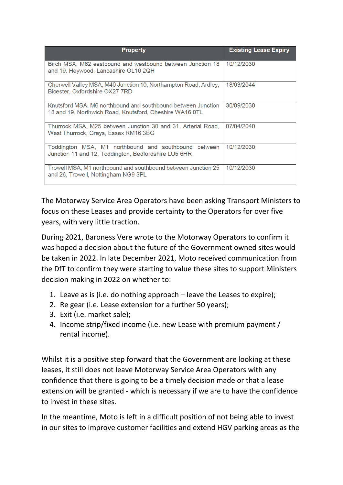| <b>Property</b>                                                                                                         | <b>Existing Lease Expiry</b> |
|-------------------------------------------------------------------------------------------------------------------------|------------------------------|
| Birch MSA, M62 eastbound and westbound between Junction 18<br>and 19, Heywood, Lancashire OL10 2QH                      | 10/12/2030                   |
| Cherwell Valley MSA, M40 Junction 10, Northampton Road, Ardley,<br>Bicester, Oxfordshire OX27 7RD                       | 18/03/2044                   |
| Knutsford MSA, M6 northbound and southbound between Junction<br>18 and 19, Northwich Road, Knutsford, Cheshire WA16 0TL | 30/09/2030                   |
| Thurrock MSA, M25 between Junction 30 and 31, Arterial Road,<br>West Thurrock, Grays, Essex RM16 3BG                    | 07/04/2040                   |
| Toddington MSA, M1 northbound and southbound between<br>Junction 11 and 12, Toddington, Bedfordshire LU5 6HR            | 10/12/2030                   |
| Trowell MSA, M1 northbound and southbound between Junction 25<br>and 26, Trowell, Nottingham NG9 3PL                    | 10/12/2030                   |

The Motorway Service Area Operators have been asking Transport Ministers to focus on these Leases and provide certainty to the Operators for over five years, with very little traction.

During 2021, Baroness Vere wrote to the Motorway Operators to confirm it was hoped a decision about the future of the Government owned sites would be taken in 2022. In late December 2021, Moto received communication from the DfT to confirm they were starting to value these sites to support Ministers decision making in 2022 on whether to:

- 1. Leave as is (i.e. do nothing approach leave the Leases to expire);
- 2. Re gear (i.e. Lease extension for a further 50 years);
- 3. Exit (i.e. market sale);
- 4. Income strip/fixed income (i.e. new Lease with premium payment / rental income).

Whilst it is a positive step forward that the Government are looking at these leases, it still does not leave Motorway Service Area Operators with any confidence that there is going to be a timely decision made or that a lease extension will be granted - which is necessary if we are to have the confidence to invest in these sites.

In the meantime, Moto is left in a difficult position of not being able to invest in our sites to improve customer facilities and extend HGV parking areas as the